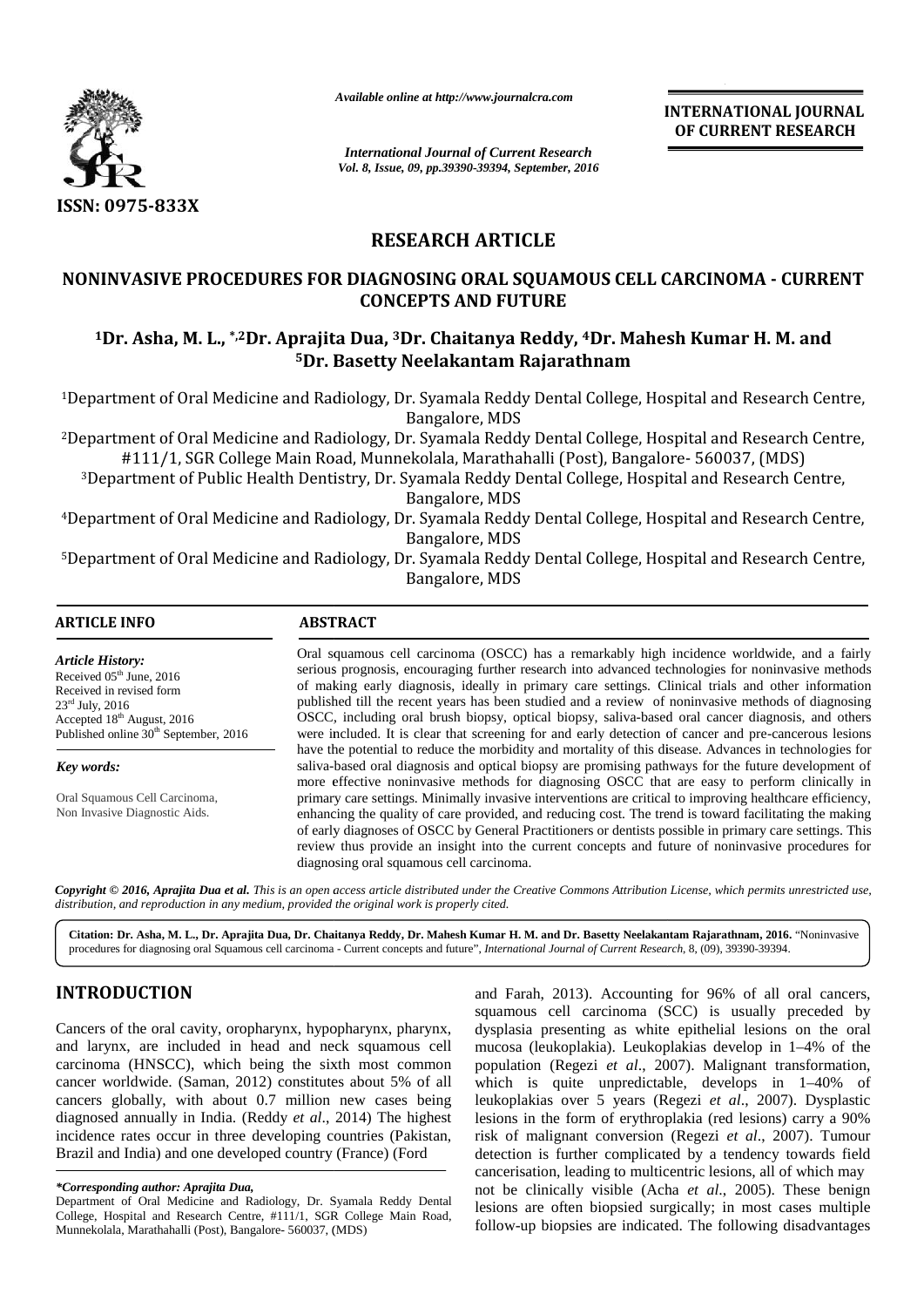

*Available online at http://www.journalcra.com*

*International Journal of Current Research Vol. 8, Issue, 09, pp.39390-39394, September, 2016* **INTERNATIONAL JOURNAL OF CURRENT RESEARCH RESEARCH**

## **RESEARCH ARTICLE**

# NONINVASIVE PROCEDURES FOR DIAGNOSING ORAL SQUAMOUS CELL CARCINOMA - CURRENT<br>
CONCEPTS AND FUTURE<br><sup>1</sup>Dr. Asha, M. L., \*<sup>,2</sup>Dr. Aprajita Dua, <sup>3</sup>Dr. Chaitanya Reddy, <sup>4</sup>Dr. Mahesh Kumar H. M. and<br><sup>5</sup>Dr. Basetty Neelakantam **CONCEPTS AND FUTURE**

## **<sup>1</sup>Dr. Asha, M. L., \*,2Dr. Aprajita Dua, <sup>3</sup>Dr. Chaitanya Reddy, <sup>4</sup>Dr. Mahesh Kumar H. M. and <sup>5</sup>Dr. Basetty Neelakantam Rajarathnam**

<sup>1</sup>Department of Oral Medicine and Radiology, Dr. Syamala Reddy Dental College, Hospital and Research Centre, 1Centre,Bangalore,Bangalore, MDS

<sup>2</sup>Department of Oral Medicine and Radiology, Dr. Syamala Reddy Dental College, Hospital and Research Centre, #111/1, SGR College Main Road, Munnekolala, Marathahalli (Post), Bangalore- 560037, (MDS) <sup>2</sup>Department of Oral Medicine and Radiology, Dr. Syamala Reddy Dental College, Hospital and Research Centre,<br>#111/1, SGR College Main Road, Munnekolala, Marathahalli (Post), Bangalore- 560037, (MDS)<br><sup>3</sup>Department of Publi

Bangalore, MDS

<sup>4</sup>Department of Oral Medicine and Radiology, Dr. Syamala Reddy Dental College, Hospital and Research Centre, 4Research Bangalore, MDS

<sup>5</sup>Department of Oral Medicine and Radiology, Dr. Syamala Reddy Dental College, Hospital and Research Centre, 5Centre,Bangalore, MDS

## **ARTICLE INFO ABSTRACT ARTICLE INFO**Oral squamous cell carcinoma (OSCC) has a remarkably high incidence worldwide, and a fairly Oral squamous cell fairly serious prognosis, encouraging further research into advanced technologies for noninvasive methods serious prognosis, encouraging further research into advanced technologies for noninvasive methods<br>of making early diagnosis, ideally in primary care settings. Clinical trials and other information published till the recent years has been studied and a review of noninvasive methods of diagnosing OSCC, including oral brush biopsy, optical biopsy, saliva-based oral cancer diagnosis, and others were included. It is clear that screening for and early detection of cancer and pre-cancerous lesions have the potential to reduce the morbidity and mortality of this disease. Advances in technologies for saliva-based oral diagnosis and optical biopsy are promising pathways for the future development of more effective noninvasive methods for diagnosing OSCC that are easy to perform clinically in published till the recent years has been studied and a review of noninvasive methods of diagnosing OSCC, including oral brush biopsy, optical biopsy, saliva-based oral cancer diagnosis, and others were included. It is clea enhancing the quality of care provided, and reducing cost. The trend is toward facilitating the making enhancing the quality of care provided, and reducing cost. The trend is toward facilitating the making<br>of early diagnoses of OSCC by General Practitioners or dentists possible in primary care settings. This review thus provide an insight into the current concepts and future of noninvasive procedures for diagnosing oral squamous cell carcinoma. diagnosing oral squamous cell carcinoma. *Article History: History:* Received 05<sup>th</sup> June, 2016<br>Received in revised form Received in revised form 23rd July, 2016 25 July, 2016<br>Accepted 18<sup>th</sup> August, 2016 Published online 30<sup>th</sup> September, 2016 *Key words: Key words:* Oral Squamous Cell Carcinoma, Oral Squamous Non Invasive Diagnostic Aids. *The Coultrigon Constraine Constraine Constraine Constraine Constrained Constrained Constrained Constrained ARCH ARTICLE SING ORAL SQUAMOUS CELL CARCINOMA -<br>PRESENT PROPERTIENT PROPERTIENT AND FUTURE TRANSPOSE CONSTRAINS A* **Example 1939**<br> **Example 10. Example 10. Example 10. Example 10. Example 10. Example 10. Example 10. Example 10. Example 10. Example 10. Example 10. Example 10. Example 10. Example 10. Example**

Copyright © 2016, Aprajita Dua et al. This is an open access article distributed under the Creative Commons Attribution License, which permits unrestricted use, *distribution, and reproduction in any medium, provided the original work is properly cited. distribution,* 

Citation: Dr. Asha, M. L., Dr. Aprajita Dua, Dr. Chaitanya Reddy, Dr. Mahesh Kumar H. M. and Dr. Basetty Neelakantam Rajarathnam, 2016. "Noninvasive procedures for diagnosing oral Squamous cell carcinoma - Current concepts and future", *International Journal of Current Research*, 8, (09), 39390-39394.

## **INTRODUCTION**

Cancers of the oral cavity, oropharynx, hypopharynx, pharynx, and larynx, are included in head and neck squamous cell Cancers of the oral cavity, oropharynx, hypopharynx, pharynx, dyspl<br>and larynx, are included in head and neck squamous cell muco<br>carcinoma (HNSCC), which being the sixth most common popul cancer worldwide. (Saman, 2012) constitutes about 5% of all cancer worldwide. (Saman, 2012) constitutes about 5% of all which<br>cancers globally, with about 0.7 million new cases being leuko diagnosed annually in India. (Reddy *et al*., 2014) The highest diagnosed annually in India. (Reddy *et al.*, 2014) The highest 1<br>incidence rates occur in three developing countries (Pakistan, Brazil and India) and one developed country (France) (Ford

and Farah, 2013). Accounting for 96% of all oral cancers, squamous cell carcinoma (SCC) is usually preceded by dysplasia presenting as white epithelial lesions on the oral mucosa (leukoplakia). Leukoplakias develop in 1–4% of the population (Regezi *et al.*, 2007). Malignant transformation, which is quite unpredictable, develops in  $1-40\%$  of leukoplakias over 5 years (Regezi *et al*., 2007). Dysplastic lesions in the form of erythroplakia (red lesions) carry a 90% risk of malignant conversion (Regezi *et al*., 2007). Tumour detection is further complicated by a tendency towards field cancerisation, leading to multicentric lesions, all of which may not be clinically visible (Acha *et al.*, 2005). These benign lesions are often biopsied surgically; in most cases multiple follow-up biopsies are indicated. The following disadvantages whatynx, hypopharynx, pharynx, dysplasia presenting as white epithelial lesions on the oral<br>head and neck squamous cell<br>mucosa (leukoplakia). Leukoplakias develop in 1-4% of the<br>being the sixth most common population (Reg *alian over 5 years (Regezi et al., 2007). Dy in the form of erythroplakia (red lesions) carry malignant conversion (Regezi <i>et al., 2007).* T

*<sup>\*</sup>Corresponding author: Aprajita Dua, \*Corresponding author: Aprajita* 

Department of Oral Medicine and Radiology, Dr. Syamala Reddy Dental College, Hospital and Research Centre, #111/1, SGR College Main Road, Munnekolala, Marathahalli (Post), Bangalore- 560037, (MDS)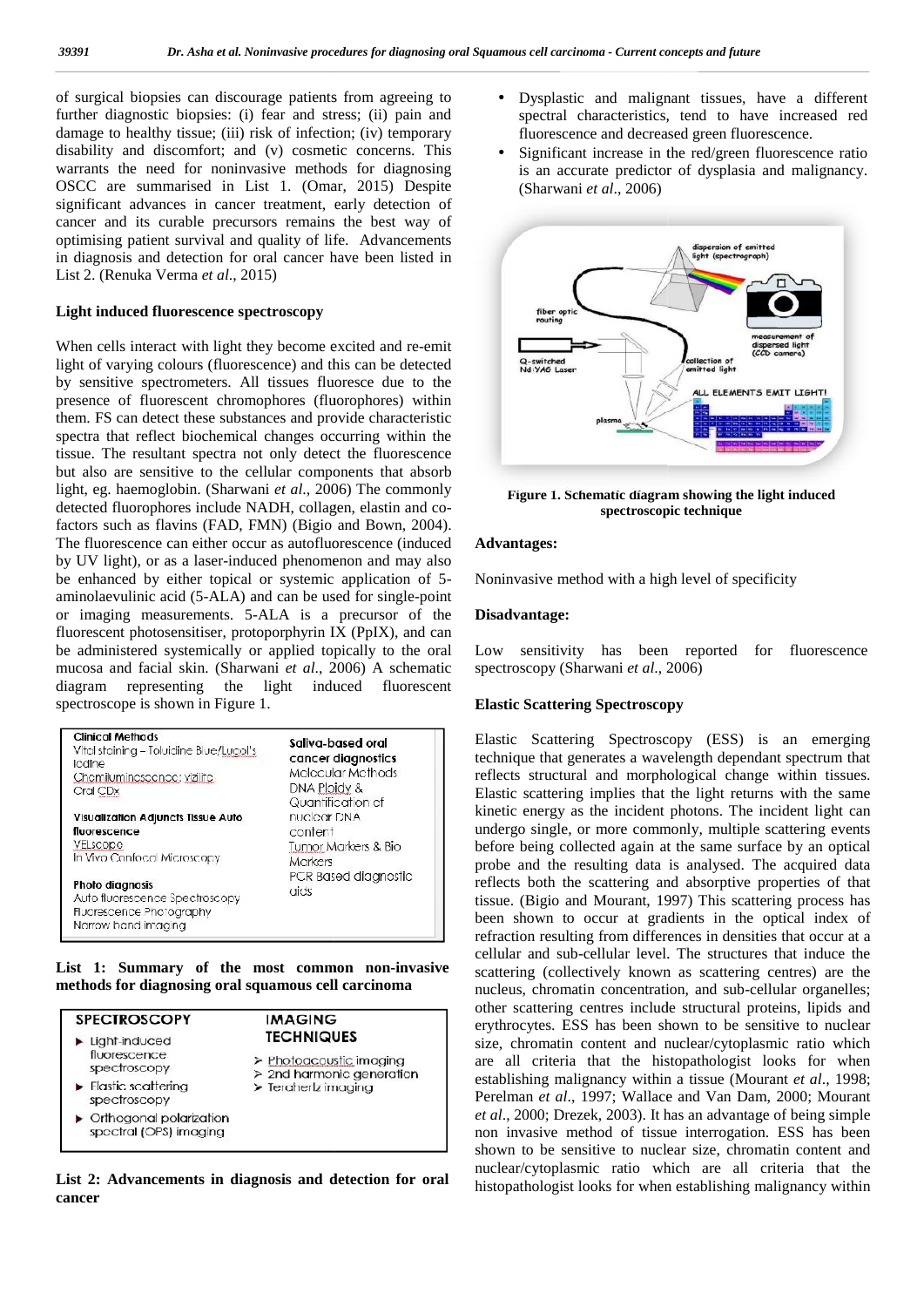of surgical biopsies can discourage patients from agreeing to  $\bullet$ further diagnostic biopsies: (i) fear and stress; (ii) pain and damage to healthy tissue; (iii) risk of infection; (iv) temporary disability and discomfort; and (v) cosmetic concerns. This warrants the need for noninvasive methods for diagnosing OSCC are summarised in List 1. (Omar, 2015) Despite significant advances in cancer treatment, early detection of cancer and its curable precursors remains the best way of optimising patient survival and quality of life. Advancements in diagnosis and detection for oral cancer have been listed in List 2. (Renuka Verma *et al*., 2015) further diagnostic biopsies: (i) fear and stress; (ii) pain and<br>damage to healthy tissue; (iii) risk of infection; (iv) temporary<br>disability and discomfort; and (v) cosmetic concerns. This significant advances in cancer treatment, early<br>cancer and its curable precursors remains the<br>optimising patient survival and quality of life.<br>in diagnosis and detection for oral cancer have<br>List 2. (Renuka Verma *et al.* 

#### **Light induced fluorescence spectroscopy spectroscopy**

When cells interact with light they become excited and re-emit light of varying colours (fluorescence) and this can be detected by sensitive spectrometers. All tissues fluoresce due to the presence of fluorescent chromophores (fluorophores) within them. FS can detect these substances and provide characteristic spectra that reflect biochemical changes occurring within the tissue. The resultant spectra not only detect the fluorescence but also are sensitive to the cellular components that absorb light, eg. haemoglobin. (Sharwani *et al*., 2006) The commonly detected fluorophores include NADH, collagen, elastin and cofactors such as flavins (FAD, FMN) (Bigio and Bown, 2004). The fluorescence can either occur as autofluorescence (induced by UV light), or as a laser-induced phenomenon and may also be enhanced by either topical or systemic application of 5- No aminolaevulinic acid (5-ALA) and can be used for single-point or imaging measurements. 5-ALA is a precursor of the Disa fluorescent photosensitiser, protoporphyrin IX (PpIX), and can be administered systemically or applied topically to the oral L mucosa and facial skin. (Sharwani *et al*., 2006) A schematic diagram representing the light induced fluorescent<br>spectroscope is shown in Figure 1. spectroscope is shown in Figure 1. can detect these substances and provide characteristic<br>nat reflect biochemical changes occurring within the<br>he resultant spectra not only detect the fluorescence<br>are sensitive to the cellular components that absorb<br>haemogl photosensitiser, protoporphyrin IX (PpIX), and can<br>ered systemically or applied topically to the oral Low<br>I facial skin. (Sharwani *et al.*, 2006) A schematic spec

| <b>Clinical Methods</b>                                                                              | Saliva-based oral              |
|------------------------------------------------------------------------------------------------------|--------------------------------|
| Vital staining - Toluidine Blue/Lugol's                                                              | cancer diagnostics             |
| lodine                                                                                               | Molecular Methods              |
| Chemiluminescence: vizilite                                                                          | DNA Ploidy &                   |
| Cral CDx                                                                                             | Quantification of              |
| <b>Visualization Adjuncts Tissue Auto</b>                                                            | nuclear DNA                    |
| fluorescence                                                                                         | content                        |
| VELscope                                                                                             | Tumor Markers & Bio            |
| In Vivo Confocal Microscopy                                                                          | Markers                        |
| Photo diagnosis<br>Auto fluorescence Spectroscopy<br>Fluorescence Photography<br>Narrow band imaging | PCR Based diagnostic<br>cricis |

**List 1: Summary of the most common non-invasive methods for diagnosing oral squamous cell carcinoma**

| <b>SPECTROSCOPY</b>                                                | <b>IMAGING</b>                                                                                  |
|--------------------------------------------------------------------|-------------------------------------------------------------------------------------------------|
| $\blacktriangleright$ Light-induced                                | <b>TECHNIQUES</b>                                                                               |
| fluorescence<br>spectroscopy                                       | > Photoacoustic imaging<br>$\geq$ 2nd harmonic generation<br>$\triangleright$ Teraherlz imaging |
| $\blacktriangleright$ Flastic scattering<br>spectroscopy           |                                                                                                 |
| $\triangleright$ Orthogonal polarization<br>spectral (OPS) imaging |                                                                                                 |

**List 2: Advancements in diagnosis and detection for oral cancer**

- Dysplastic and malignant tissues, have a different spectral characteristics, tend to have increased red fluorescence and decreased green fluorescence.
- Significant increase in the red/green fluorescence ratio Significant increase in the red/green fluorescence ratio is an accurate predictor of dysplasia and malignancy. (Sharwani *et al*., 2006) *al*.,



**Figure 1. Schematic diagram showing the light induced 1.spectroscopic technique**

#### **Advantages:**

Noninvasive method with a high level of specificity

#### **Disadvantage:**

Low sensitivity has been reported for fluorescence spectroscopy (Sharwani *et al*., 2006)

#### **Elastic Scattering Spectroscopy Spectroscopy**

Elastic Scattering Spectroscopy (ESS) is an emerging technique that generates a wavelength dependant spectrum that reflects structural and morphological change within tissues. Elastic scattering implies that the light returns with the same kinetic energy as the incident photons. The incident light can undergo single, or more commonly, multiple scattering events before being collected again at the same surface by an optical probe and the resulting data is analysed. The acquired data reflects both the scattering and absorptive properties of that tissue. (Bigio and Mourant, 1997) This scattering process has been shown to occur at gradients in the optical index of refraction resulting from differences in densities that occur at a been shown to occur at gradients in the optical index of refraction resulting from differences in densities that occur at a cellular and sub-cellular level. The structures that induce the scattering (collectively known as scattering centres) are the nucleus, chromatin concentration, and sub-cellular organelles; other scattering centres include structural proteins, lipids and erythrocytes. ESS has been shown to be sensitive to nuclear erythrocytes. ESS has been shown to be sensitive to nuclear size, chromatin content and nuclear/cytoplasmic ratio which are all criteria that the histopathologist looks for when establishing malignancy within a tissue (Mourant *et al*., 1998; Perelman *et al*., 1997; Wallace and Van Dam, 2000; Mourant *et al.*, 2000; Drezek, 2003). It has an advantage of being simple non invasive method of tissue interrogation. ESS has been shown to be sensitive to nuclear size, chromatin content and nuclear/cytoplasmic ratio which are all criteria that the histopathologist looks for when establishing malignancy within (i) for and strengt (ii) pain ind (i) and carcinomadia the strength carcinomation in the extended point of  $\theta$  carcinomation (ii) energy in the strength control of  $\theta$  carcinomation (iii) and the strength control of  $\theta$ technique that generates a wavelength dependant spectrum that reflects structural and morphological change within tissues. Elastic scattering implies that the light returns with the same kinetic energy as the incident phot cellular and sub-cellular level. The structures that induce the scattering (collectively known as scattering centres) are the nucleus, chromatin concentration, and sub-cellular organelles; other scattering centres include when the probability distribution of the current control of the splassical state is a subsequent of the current of the current of the current of the current of the current of the current of the current of the current of t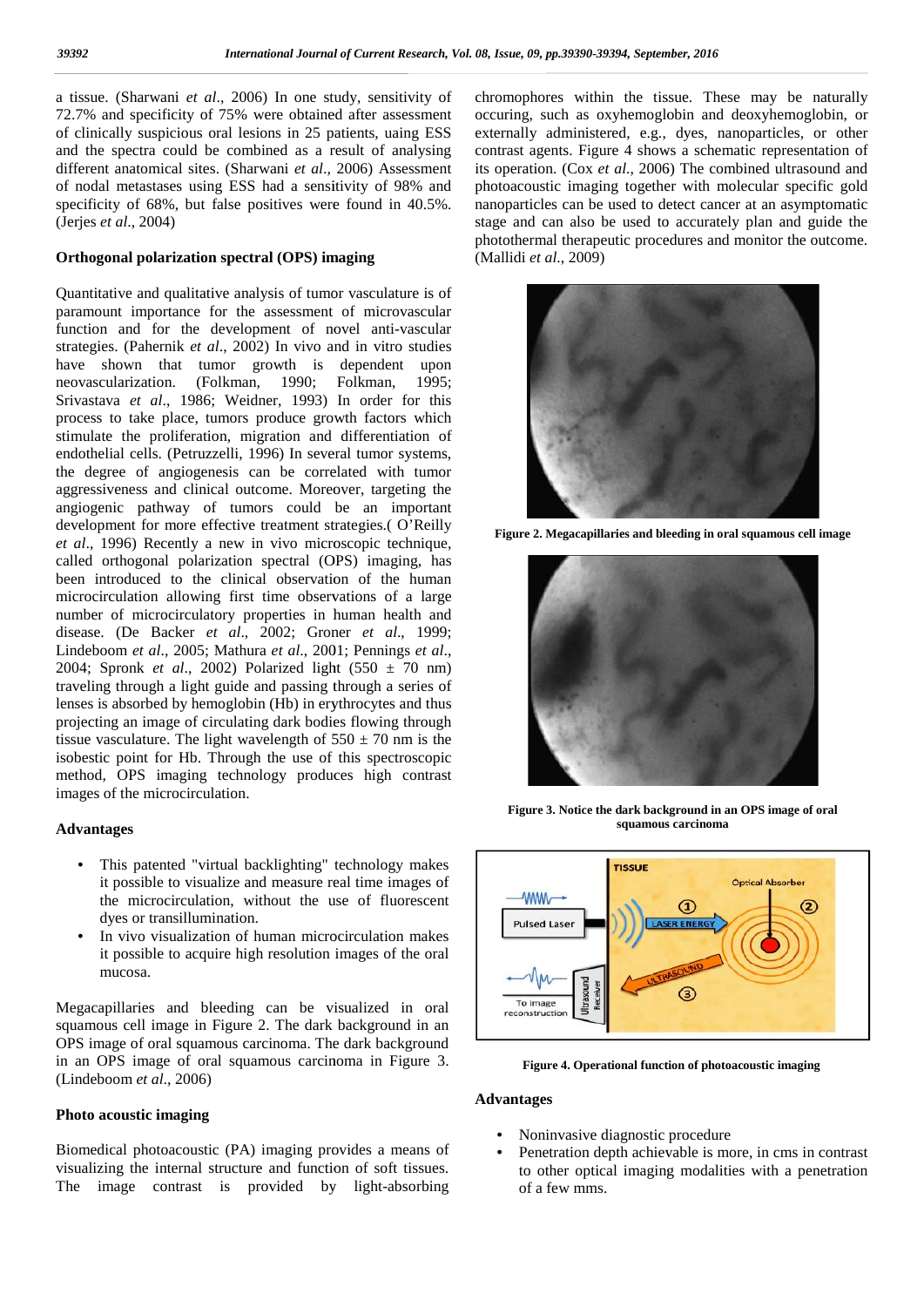a tissue. (Sharwani *et al*., 2006) In one study, sensitivity of 72.7% and specificity of 75% were obtained after assessment of clinically suspicious oral lesions in 25 patients, uaing ESS and the spectra could be combined as a result of analysing different anatomical sites. (Sharwani et al., 2006) Assessment it of nodal metastases using ESS had a sensitivity of 98% and of nodal metastases using ESS had a sensitivity of 98% and precificity of 68%, but false positives were found in 40.5%. (Jerjes *et al*., 2004) *al*72.7% and specificity of 75% were obtained after assessment<br>of clinically suspicious oral lesions in 25 patients, uaing ESS<br>and the spectra could be combined as a result of analysing

#### **Orthogonal polarization spectral (OPS) imaging imaging**

Quantitative and qualitative analysis of tumor vasculature is of paramount importance for the assessment of microvascular Quantitative and qualitative analysis of tumor vasculature is of<br>paramount importance for the assessment of microvascular<br>function and for the development of novel anti-vascular strategies. (Pahernik *et al.*, 2002) In vivo and in vitro studies have shown that tumor growth is dependent upon neovascularization. (Folkman, 1990; Folkman, 1995; Srivastava *et al*., 1986; Weidner, 1993) In order for this process to take place, tumors produce growth factors which stimulate the proliferation, migration and differentiation of endothelial cells. (Petruzzelli, 1996) In several tumor systems, the degree of angiogenesis can be correlated with tumor aggressiveness and clinical outcome. Moreover, targeting the angiogenic pathway of tumors could be an important development for more effective treatment strategies.( O'Reilly *et al*., 1996) Recently a new in vivo microscopic technique, called orthogonal polarization spectral (OPS) imaging, has been introduced to the clinical observation of the human microcirculation allowing first time observations of a large number of microcirculatory properties in human health and disease. (De Backer *et al*., 2002; Groner *et al*., 1999; disease. (De Backer *et al.*, 2002; Groner *et al.*, 1999; Lindeboom *et al.*, 2005; Mathura *et al.*, 2001; Pennings *et al.*, 2004; Spronk *et al*., 2002) Polarized light (550 ± 70 nm) 2004; Spronk *et al.*, 2002) Polarized light  $(550 \pm 70 \text{ nm})$ <br>traveling through a light guide and passing through a series of lenses is absorbed by hemoglobin (Hb) in erythrocytes and thus projecting an image of circulating dark bodies flowing through tissue vasculature. The light wavelength of  $550 \pm 70$  nm is the isobestic point for Hb. Through the use of this spectroscopic isobestic method, OPS imaging technology produces high contrast method, OPS imaging technolog<br>images of the microcirculation. neovascularization. (Folkman, 1990; Folkman, 1995;<br>Srivastava *et al.*, 1986; Weidner, 1993) In order for this<br>process to take place, tumors produce growth factors which<br>stimulate the proliferation, migration and different the ial cells. (Petruzzelli, 1996) In several tumor systems,<br>degree of angiogenesis can be correlated with tumor<br>essiveness and clinical outcome. Moreover, targeting the<br>ogenic pathway of tumors could be an important<br>lopme modelities from the state of the boundary of the state of the control of the state of the state of the state of the state of the state of the state of the state of the state of the state of the state of the state of the s

#### **Advantages**

- This patented "virtual backlighting" technology makes it possible to visualize and measure real time images of the microcirculation, without the use of fluorescent dyes or transillumination.
- In vivo visualization of human microcirculation makes it possible to acquire high resolution images of the oral mucosa.

Megacapillaries and bleeding can be visualized in oral squamous cell image in Figure 2. The dark background in an OPS image of oral squamous carcinoma. The dark background in an OPS image of oral squamous carcinoma in Figure 3. (Lindeboom *et al*., 2006) and measure real time images of the microcirculation, without the use of fluorescent dyes or transillumination.<br>
• In vivo visualization of human microcirculation makes it possible to acquire high resolution images of the

#### **Photo acoustic imaging**

Biomedical photoacoustic (PA) imaging provides a means of visualizing the internal structure and function of soft tissues. The image contrast is provided by light-absorbing chromophores within the tissue. These may be naturally occuring, such as oxyhemoglobin and deoxyhemoglobin, or externally administered, e.g., dyes, nanoparticles, or other contrast agents. Figure 4 shows a schematic representation of its operation. (Cox *et al*., 2006) The combined ultrasound and photoacoustic imaging together with molecular specific gold nanoparticles can be used to detect cancer at an asymptomatic stage and can also be used to accurately plan and guide the photothermal therapeutic procedures and monitor the outcome. (Mallidi *et al*., 2009) nophores within the tissue. These may be naturally<br>ng, such as oxyhemoglobin and deoxyhemoglobin, or<br>ally administered, e.g., dyes, nanoparticles, or other<br>st agents. Figure 4 shows a schematic representation of<br>eration. (



Figure 2. Megacapillaries and bleeding in oral squamous cell image



**Figure 3. Notice the dark background in an OPS image of oral squamous carcinoma**



**Figure 4. Operational function of photoacoustic imaging**

#### **Advantages**

- Noninvasive diagnostic procedure
- Penetration depth achievable is more, in cms in contrast to other optical imaging modalities with a penetration of a few mms.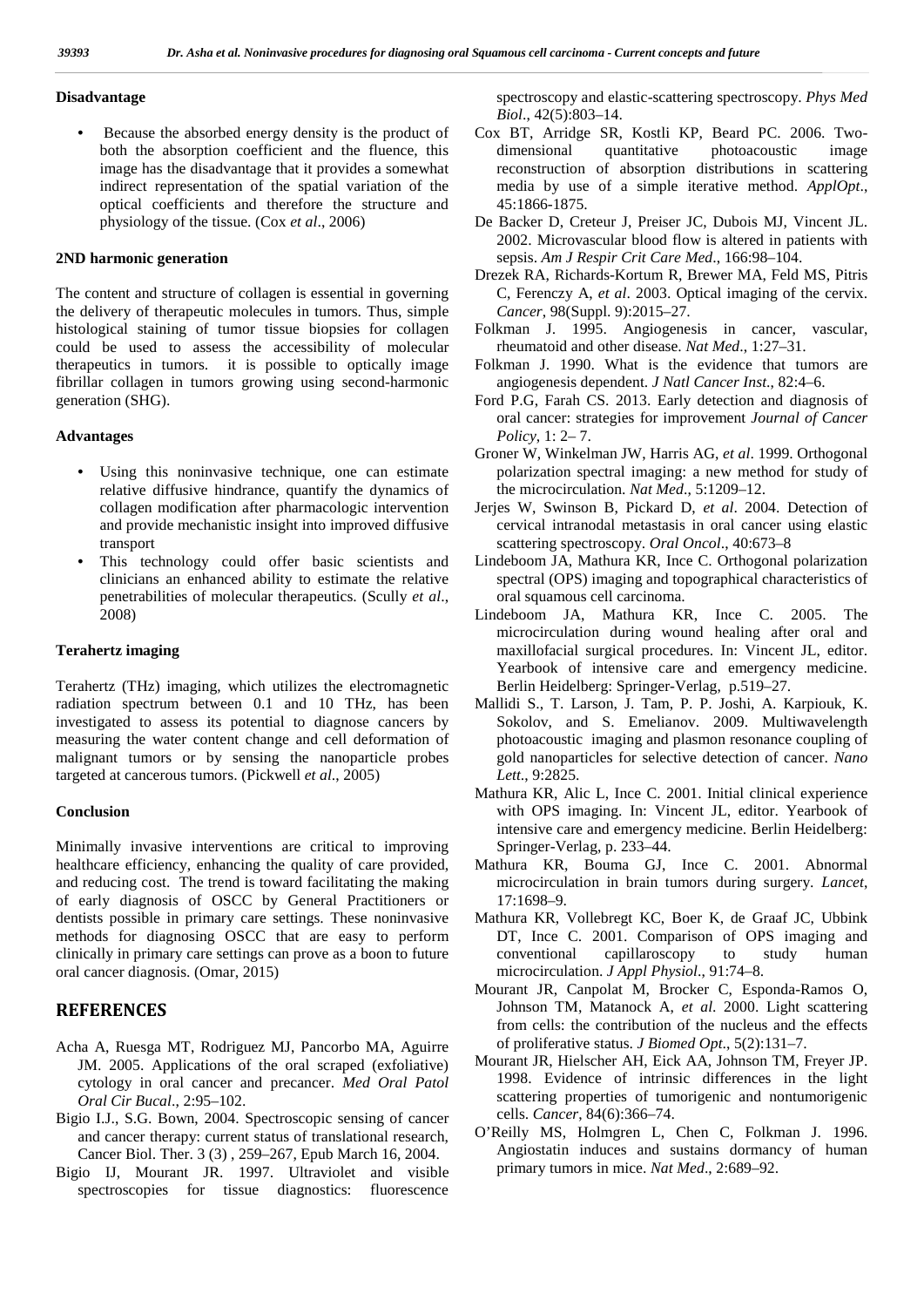#### **Disadvantage**

• Because the absorbed energy density is the product of both the absorption coefficient and the fluence, this image has the disadvantage that it provides a somewhat indirect representation of the spatial variation of the optical coefficients and therefore the structure and physiology of the tissue. (Cox *et al*., 2006)

#### **2ND harmonic generation**

The content and structure of collagen is essential in governing the delivery of therapeutic molecules in tumors. Thus, simple histological staining of tumor tissue biopsies for collagen could be used to assess the accessibility of molecular therapeutics in tumors. it is possible to optically image fibrillar collagen in tumors growing using second-harmonic generation (SHG).

#### **Advantages**

- Using this noninvasive technique, one can estimate relative diffusive hindrance, quantify the dynamics of collagen modification after pharmacologic intervention and provide mechanistic insight into improved diffusive transport
- This technology could offer basic scientists and clinicians an enhanced ability to estimate the relative penetrabilities of molecular therapeutics. (Scully *et al*., 2008)

#### **Terahertz imaging**

Terahertz (THz) imaging, which utilizes the electromagnetic radiation spectrum between 0.1 and 10 THz, has been investigated to assess its potential to diagnose cancers by measuring the water content change and cell deformation of malignant tumors or by sensing the nanoparticle probes targeted at cancerous tumors. (Pickwell *et al*., 2005)

#### **Conclusion**

Minimally invasive interventions are critical to improving healthcare efficiency, enhancing the quality of care provided, and reducing cost. The trend is toward facilitating the making of early diagnosis of OSCC by General Practitioners or dentists possible in primary care settings. These noninvasive methods for diagnosing OSCC that are easy to perform clinically in primary care settings can prove as a boon to future oral cancer diagnosis. (Omar, 2015)

### **REFERENCES**

- Acha A, Ruesga MT, Rodriguez MJ, Pancorbo MA, Aguirre JM. 2005. Applications of the oral scraped (exfoliative) cytology in oral cancer and precancer. *Med Oral Patol Oral Cir Bucal*., 2:95–102.
- Bigio I.J., S.G. Bown, 2004. Spectroscopic sensing of cancer and cancer therapy: current status of translational research, Cancer Biol. Ther. 3 (3) , 259–267, Epub March 16, 2004.
- Bigio IJ, Mourant JR. 1997. Ultraviolet and visible spectroscopies for tissue diagnostics: fluorescence

spectroscopy and elastic-scattering spectroscopy. *Phys Med Biol*., 42(5):803–14.

- Cox BT, Arridge SR, Kostli KP, Beard PC. 2006. Two dimensional quantitative photoacoustic image reconstruction of absorption distributions in scattering media by use of a simple iterative method. *ApplOpt*., 45:1866-1875.
- De Backer D, Creteur J, Preiser JC, Dubois MJ, Vincent JL. 2002. Microvascular blood flow is altered in patients with sepsis. *Am J Respir Crit Care Med*., 166:98–104.
- Drezek RA, Richards-Kortum R, Brewer MA, Feld MS, Pitris C, Ferenczy A, *et al*. 2003. Optical imaging of the cervix. *Cancer*, 98(Suppl. 9):2015–27.
- Folkman J. 1995. Angiogenesis in cancer, vascular, rheumatoid and other disease. *Nat Med*., 1:27–31.
- Folkman J. 1990. What is the evidence that tumors are angiogenesis dependent. *J Natl Cancer Inst*., 82:4–6.
- Ford P.G, Farah CS. 2013. Early detection and diagnosis of oral cancer: strategies for improvement *Journal of Cancer Policy*, 1: 2– 7.
- Groner W, Winkelman JW, Harris AG, *et al*. 1999. Orthogonal polarization spectral imaging: a new method for study of the microcirculation. *Nat Med*., 5:1209–12.
- Jerjes W, Swinson B, Pickard D, *et al*. 2004. Detection of cervical intranodal metastasis in oral cancer using elastic scattering spectroscopy. *Oral Oncol*., 40:673–8
- Lindeboom JA, Mathura KR, Ince C. Orthogonal polarization spectral (OPS) imaging and topographical characteristics of oral squamous cell carcinoma.
- Lindeboom JA, Mathura KR, Ince C. 2005. The microcirculation during wound healing after oral and maxillofacial surgical procedures. In: Vincent JL, editor. Yearbook of intensive care and emergency medicine. Berlin Heidelberg: Springer-Verlag, p.519–27.
- Mallidi S., T. Larson, J. Tam, P. P. Joshi, A. Karpiouk, K. Sokolov, and S. Emelianov. 2009. Multiwavelength photoacoustic imaging and plasmon resonance coupling of gold nanoparticles for selective detection of cancer. *Nano Lett*., 9:2825.
- Mathura KR, Alic L, Ince C. 2001. Initial clinical experience with OPS imaging. In: Vincent JL, editor. Yearbook of intensive care and emergency medicine. Berlin Heidelberg: Springer-Verlag, p. 233–44.
- Mathura KR, Bouma GJ, Ince C. 2001. Abnormal microcirculation in brain tumors during surgery. *Lancet*, 17:1698–9.
- Mathura KR, Vollebregt KC, Boer K, de Graaf JC, Ubbink DT, Ince C. 2001. Comparison of OPS imaging and capillaroscopy to study human microcirculation. *J Appl Physiol*., 91:74–8.
- Mourant JR, Canpolat M, Brocker C, Esponda-Ramos O, Johnson TM, Matanock A, *et al*. 2000. Light scattering from cells: the contribution of the nucleus and the effects of proliferative status. *J Biomed Opt*., 5(2):131–7.
- Mourant JR, Hielscher AH, Eick AA, Johnson TM, Freyer JP. 1998. Evidence of intrinsic differences in the light scattering properties of tumorigenic and nontumorigenic cells. *Cancer*, 84(6):366–74.
- O'Reilly MS, Holmgren L, Chen C, Folkman J. 1996. Angiostatin induces and sustains dormancy of human primary tumors in mice. *Nat Med*., 2:689–92.